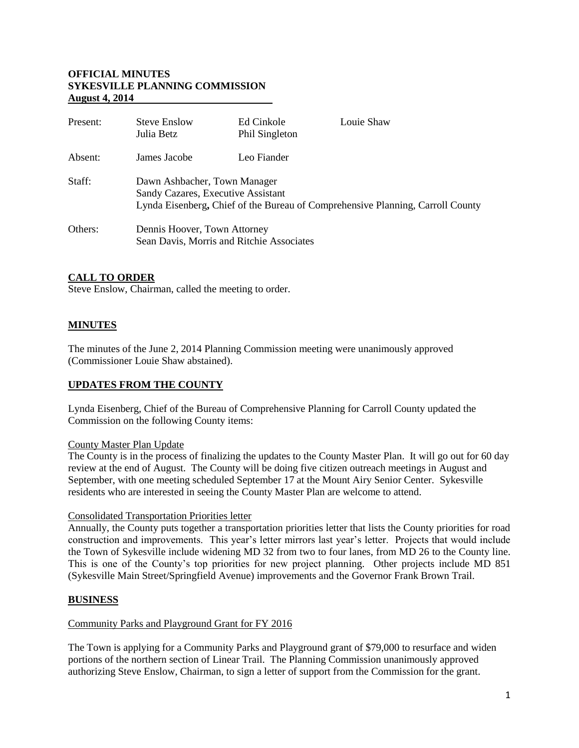### **OFFICIAL MINUTES SYKESVILLE PLANNING COMMISSION August 4, 2014**

| Present: | <b>Steve Enslow</b><br>Julia Betz                                                                                                                    | Ed Cinkole<br>Phil Singleton | Louie Shaw |  |
|----------|------------------------------------------------------------------------------------------------------------------------------------------------------|------------------------------|------------|--|
| Absent:  | James Jacobe                                                                                                                                         | Leo Fiander                  |            |  |
| Staff:   | Dawn Ashbacher, Town Manager<br>Sandy Cazares, Executive Assistant<br>Lynda Eisenberg, Chief of the Bureau of Comprehensive Planning, Carroll County |                              |            |  |
| Others:  | Dennis Hoover, Town Attorney<br>Sean Davis, Morris and Ritchie Associates                                                                            |                              |            |  |

# **CALL TO ORDER**

Steve Enslow, Chairman, called the meeting to order.

# **MINUTES**

The minutes of the June 2, 2014 Planning Commission meeting were unanimously approved (Commissioner Louie Shaw abstained).

# **UPDATES FROM THE COUNTY**

Lynda Eisenberg, Chief of the Bureau of Comprehensive Planning for Carroll County updated the Commission on the following County items:

#### County Master Plan Update

The County is in the process of finalizing the updates to the County Master Plan. It will go out for 60 day review at the end of August. The County will be doing five citizen outreach meetings in August and September, with one meeting scheduled September 17 at the Mount Airy Senior Center. Sykesville residents who are interested in seeing the County Master Plan are welcome to attend.

#### Consolidated Transportation Priorities letter

Annually, the County puts together a transportation priorities letter that lists the County priorities for road construction and improvements. This year's letter mirrors last year's letter. Projects that would include the Town of Sykesville include widening MD 32 from two to four lanes, from MD 26 to the County line. This is one of the County's top priorities for new project planning. Other projects include MD 851 (Sykesville Main Street/Springfield Avenue) improvements and the Governor Frank Brown Trail.

#### **BUSINESS**

#### Community Parks and Playground Grant for FY 2016

The Town is applying for a Community Parks and Playground grant of \$79,000 to resurface and widen portions of the northern section of Linear Trail. The Planning Commission unanimously approved authorizing Steve Enslow, Chairman, to sign a letter of support from the Commission for the grant.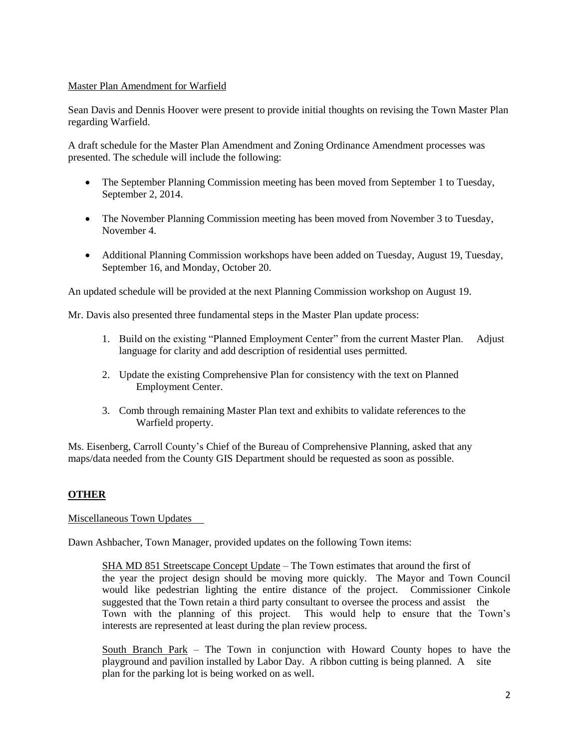### Master Plan Amendment for Warfield

Sean Davis and Dennis Hoover were present to provide initial thoughts on revising the Town Master Plan regarding Warfield.

A draft schedule for the Master Plan Amendment and Zoning Ordinance Amendment processes was presented. The schedule will include the following:

- The September Planning Commission meeting has been moved from September 1 to Tuesday, September 2, 2014.
- The November Planning Commission meeting has been moved from November 3 to Tuesday, November 4.
- Additional Planning Commission workshops have been added on Tuesday, August 19, Tuesday, September 16, and Monday, October 20.

An updated schedule will be provided at the next Planning Commission workshop on August 19.

Mr. Davis also presented three fundamental steps in the Master Plan update process:

- 1. Build on the existing "Planned Employment Center" from the current Master Plan. Adjust language for clarity and add description of residential uses permitted.
- 2. Update the existing Comprehensive Plan for consistency with the text on Planned Employment Center.
- 3. Comb through remaining Master Plan text and exhibits to validate references to the Warfield property.

Ms. Eisenberg, Carroll County's Chief of the Bureau of Comprehensive Planning, asked that any maps/data needed from the County GIS Department should be requested as soon as possible.

# **OTHER**

#### Miscellaneous Town Updates

Dawn Ashbacher, Town Manager, provided updates on the following Town items:

SHA MD 851 Streetscape Concept Update – The Town estimates that around the first of the year the project design should be moving more quickly. The Mayor and Town Council would like pedestrian lighting the entire distance of the project. Commissioner Cinkole suggested that the Town retain a third party consultant to oversee the process and assist the Town with the planning of this project. This would help to ensure that the Town's interests are represented at least during the plan review process.

South Branch Park – The Town in conjunction with Howard County hopes to have the playground and pavilion installed by Labor Day. A ribbon cutting is being planned. A site plan for the parking lot is being worked on as well.